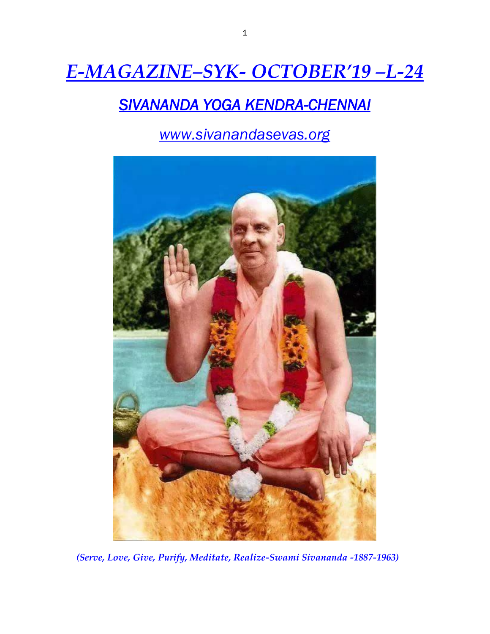# *E-MAGAZINE–SYK- OCTOBER'19 –L-24*

## *SIVANANDA YOGA KENDRA-CHENNAI*

*www.sivanandasevas.org*



*(Serve, Love, Give, Purify, Meditate, Realize-Swami Sivananda -1887-1963)*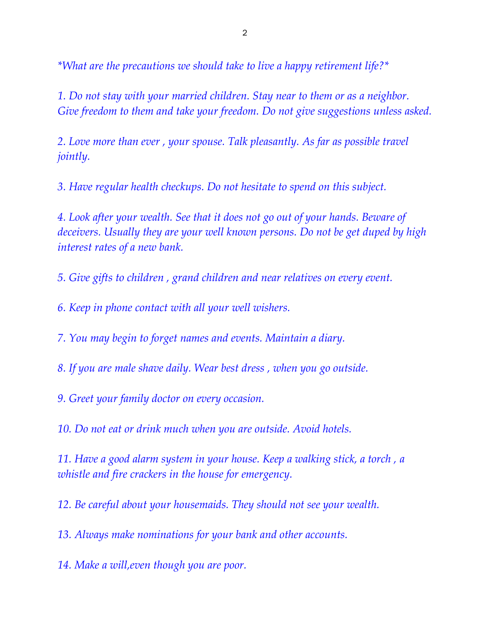*\*What are the precautions we should take to live a happy retirement life?\**

*1. Do not stay with your married children. Stay near to them or as a neighbor. Give freedom to them and take your freedom. Do not give suggestions unless asked.*

*2. Love more than ever , your spouse. Talk pleasantly. As far as possible travel jointly.*

*3. Have regular health checkups. Do not hesitate to spend on this subject.*

*4. Look after your wealth. See that it does not go out of your hands. Beware of deceivers. Usually they are your well known persons. Do not be get duped by high interest rates of a new bank.*

*5. Give gifts to children , grand children and near relatives on every event.*

*6. Keep in phone contact with all your well wishers.*

*7. You may begin to forget names and events. Maintain a diary.*

*8. If you are male shave daily. Wear best dress , when you go outside.*

*9. Greet your family doctor on every occasion.*

*10. Do not eat or drink much when you are outside. Avoid hotels.*

*11. Have a good alarm system in your house. Keep a walking stick, a torch , a whistle and fire crackers in the house for emergency.*

*12. Be careful about your housemaids. They should not see your wealth.*

*13. Always make nominations for your bank and other accounts.*

*14. Make a will,even though you are poor.*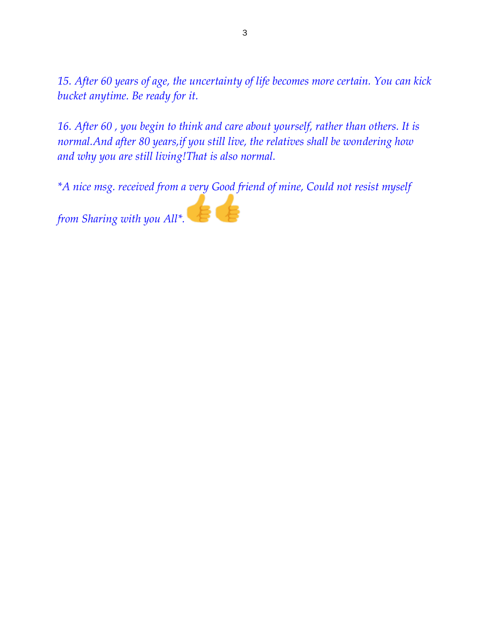*15. After 60 years of age, the uncertainty of life becomes more certain. You can kick bucket anytime. Be ready for it.*

*16. After 60 , you begin to think and care about yourself, rather than others. It is normal.And after 80 years,if you still live, the relatives shall be wondering how and why you are still living!That is also normal.*

*\*A nice msg. received from a very Good friend of mine, Could not resist myself* 

*from Sharing with you All\*.*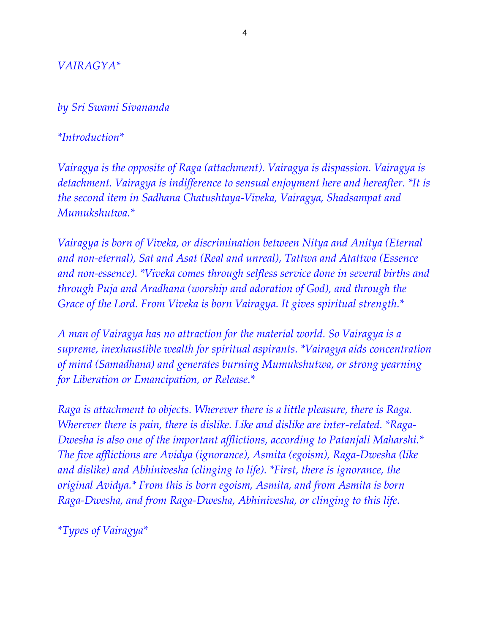#### *VAIRAGYA\**

#### *by Sri Swami Sivananda*

#### *\*Introduction\**

*Vairagya is the opposite of Raga (attachment). Vairagya is dispassion. Vairagya is detachment. Vairagya is indifference to sensual enjoyment here and hereafter. \*It is the second item in Sadhana Chatushtaya-Viveka, Vairagya, Shadsampat and Mumukshutwa.\**

*Vairagya is born of Viveka, or discrimination between Nitya and Anitya (Eternal and non-eternal), Sat and Asat (Real and unreal), Tattwa and Atattwa (Essence and non-essence). \*Viveka comes through selfless service done in several births and through Puja and Aradhana (worship and adoration of God), and through the Grace of the Lord. From Viveka is born Vairagya. It gives spiritual strength.\**

*A man of Vairagya has no attraction for the material world. So Vairagya is a supreme, inexhaustible wealth for spiritual aspirants. \*Vairagya aids concentration of mind (Samadhana) and generates burning Mumukshutwa, or strong yearning for Liberation or Emancipation, or Release.\**

*Raga is attachment to objects. Wherever there is a little pleasure, there is Raga. Wherever there is pain, there is dislike. Like and dislike are inter-related. \*Raga-Dwesha is also one of the important afflictions, according to Patanjali Maharshi.\* The five afflictions are Avidya (ignorance), Asmita (egoism), Raga-Dwesha (like and dislike) and Abhinivesha (clinging to life). \*First, there is ignorance, the original Avidya.\* From this is born egoism, Asmita, and from Asmita is born Raga-Dwesha, and from Raga-Dwesha, Abhinivesha, or clinging to this life.*

*\*Types of Vairagya\**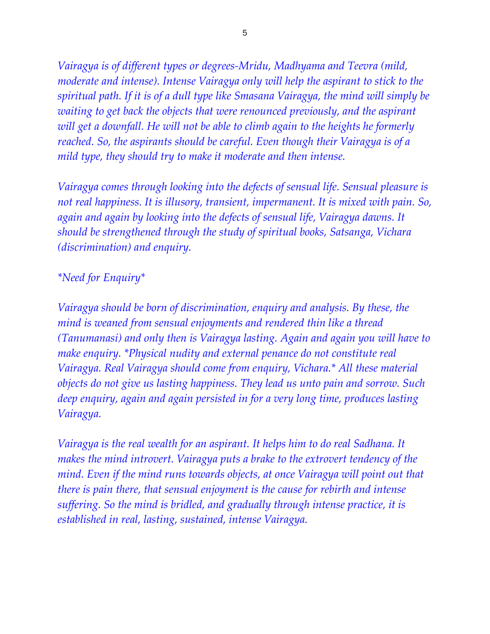*Vairagya is of different types or degrees-Mridu, Madhyama and Teevra (mild, moderate and intense). Intense Vairagya only will help the aspirant to stick to the spiritual path. If it is of a dull type like Smasana Vairagya, the mind will simply be*  waiting to get back the objects that were renounced previously, and the aspirant *will get a downfall. He will not be able to climb again to the heights he formerly reached. So, the aspirants should be careful. Even though their Vairagya is of a mild type, they should try to make it moderate and then intense.*

*Vairagya comes through looking into the defects of sensual life. Sensual pleasure is not real happiness. It is illusory, transient, impermanent. It is mixed with pain. So, again and again by looking into the defects of sensual life, Vairagya dawns. It should be strengthened through the study of spiritual books, Satsanga, Vichara (discrimination) and enquiry.*

#### *\*Need for Enquiry\**

*Vairagya should be born of discrimination, enquiry and analysis. By these, the mind is weaned from sensual enjoyments and rendered thin like a thread (Tanumanasi) and only then is Vairagya lasting. Again and again you will have to make enquiry. \*Physical nudity and external penance do not constitute real Vairagya. Real Vairagya should come from enquiry, Vichara.\* All these material objects do not give us lasting happiness. They lead us unto pain and sorrow. Such deep enquiry, again and again persisted in for a very long time, produces lasting Vairagya.*

*Vairagya is the real wealth for an aspirant. It helps him to do real Sadhana. It makes the mind introvert. Vairagya puts a brake to the extrovert tendency of the mind. Even if the mind runs towards objects, at once Vairagya will point out that there is pain there, that sensual enjoyment is the cause for rebirth and intense suffering. So the mind is bridled, and gradually through intense practice, it is established in real, lasting, sustained, intense Vairagya.*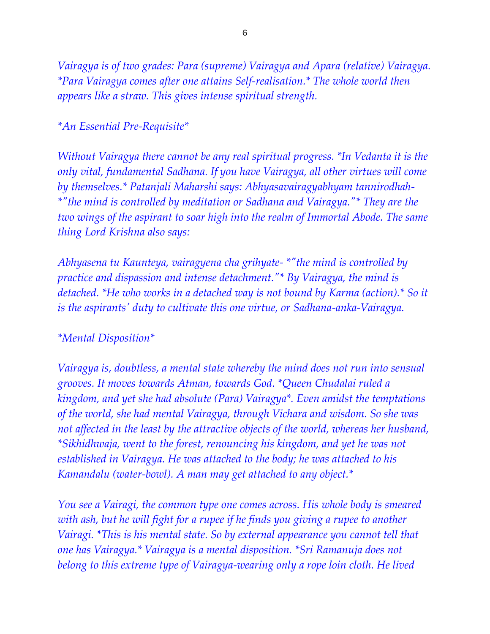*Vairagya is of two grades: Para (supreme) Vairagya and Apara (relative) Vairagya. \*Para Vairagya comes after one attains Self-realisation.\* The whole world then appears like a straw. This gives intense spiritual strength.*

#### *\*An Essential Pre-Requisite\**

*Without Vairagya there cannot be any real spiritual progress. \*In Vedanta it is the only vital, fundamental Sadhana. If you have Vairagya, all other virtues will come by themselves.\* Patanjali Maharshi says: Abhyasavairagyabhyam tannirodhah- \*"the mind is controlled by meditation or Sadhana and Vairagya."\* They are the two wings of the aspirant to soar high into the realm of Immortal Abode. The same thing Lord Krishna also says:*

*Abhyasena tu Kaunteya, vairagyena cha grihyate- \*"the mind is controlled by practice and dispassion and intense detachment."\* By Vairagya, the mind is detached. \*He who works in a detached way is not bound by Karma (action).\* So it is the aspirants' duty to cultivate this one virtue, or Sadhana-anka-Vairagya.*

#### *\*Mental Disposition\**

*Vairagya is, doubtless, a mental state whereby the mind does not run into sensual grooves. It moves towards Atman, towards God. \*Queen Chudalai ruled a kingdom, and yet she had absolute (Para) Vairagya\*. Even amidst the temptations of the world, she had mental Vairagya, through Vichara and wisdom. So she was not affected in the least by the attractive objects of the world, whereas her husband, \*Sikhidhwaja, went to the forest, renouncing his kingdom, and yet he was not established in Vairagya. He was attached to the body; he was attached to his Kamandalu (water-bowl). A man may get attached to any object.\**

*You see a Vairagi, the common type one comes across. His whole body is smeared with ash, but he will fight for a rupee if he finds you giving a rupee to another Vairagi. \*This is his mental state. So by external appearance you cannot tell that one has Vairagya.\* Vairagya is a mental disposition. \*Sri Ramanuja does not belong to this extreme type of Vairagya-wearing only a rope loin cloth. He lived*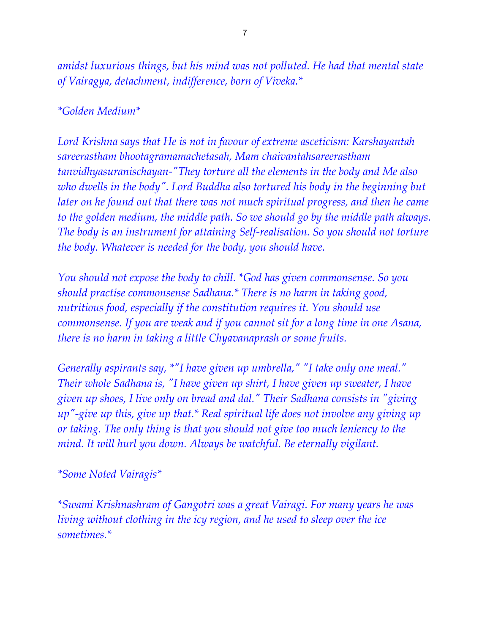*amidst luxurious things, but his mind was not polluted. He had that mental state of Vairagya, detachment, indifference, born of Viveka.\**

#### *\*Golden Medium\**

*Lord Krishna says that He is not in favour of extreme asceticism: Karshayantah sareerastham bhootagramamachetasah, Mam chaivantahsareerastham tanvidhyasuranischayan-"They torture all the elements in the body and Me also who dwells in the body". Lord Buddha also tortured his body in the beginning but*  later on he found out that there was not much spiritual progress, and then he came *to the golden medium, the middle path. So we should go by the middle path always. The body is an instrument for attaining Self-realisation. So you should not torture the body. Whatever is needed for the body, you should have.*

*You should not expose the body to chill. \*God has given commonsense. So you should practise commonsense Sadhana.\* There is no harm in taking good, nutritious food, especially if the constitution requires it. You should use commonsense. If you are weak and if you cannot sit for a long time in one Asana, there is no harm in taking a little Chyavanaprash or some fruits.*

*Generally aspirants say, \*"I have given up umbrella," "I take only one meal." Their whole Sadhana is, "I have given up shirt, I have given up sweater, I have given up shoes, I live only on bread and dal." Their Sadhana consists in "giving up"-give up this, give up that.\* Real spiritual life does not involve any giving up or taking. The only thing is that you should not give too much leniency to the mind. It will hurl you down. Always be watchful. Be eternally vigilant.*

#### *\*Some Noted Vairagis\**

*\*Swami Krishnashram of Gangotri was a great Vairagi. For many years he was living without clothing in the icy region, and he used to sleep over the ice sometimes.\**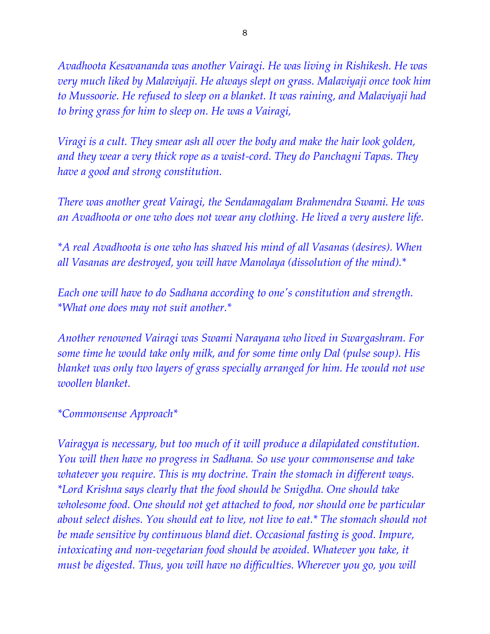*Avadhoota Kesavananda was another Vairagi. He was living in Rishikesh. He was very much liked by Malaviyaji. He always slept on grass. Malaviyaji once took him to Mussoorie. He refused to sleep on a blanket. It was raining, and Malaviyaji had to bring grass for him to sleep on. He was a Vairagi,*

*Viragi is a cult. They smear ash all over the body and make the hair look golden, and they wear a very thick rope as a waist-cord. They do Panchagni Tapas. They have a good and strong constitution.*

*There was another great Vairagi, the Sendamagalam Brahmendra Swami. He was an Avadhoota or one who does not wear any clothing. He lived a very austere life.*

*\*A real Avadhoota is one who has shaved his mind of all Vasanas (desires). When all Vasanas are destroyed, you will have Manolaya (dissolution of the mind).\**

*Each one will have to do Sadhana according to one's constitution and strength. \*What one does may not suit another.\**

*Another renowned Vairagi was Swami Narayana who lived in Swargashram. For some time he would take only milk, and for some time only Dal (pulse soup). His blanket was only two layers of grass specially arranged for him. He would not use woollen blanket.*

#### *\*Commonsense Approach\**

*Vairagya is necessary, but too much of it will produce a dilapidated constitution. You will then have no progress in Sadhana. So use your commonsense and take whatever you require. This is my doctrine. Train the stomach in different ways. \*Lord Krishna says clearly that the food should be Snigdha. One should take wholesome food. One should not get attached to food, nor should one be particular about select dishes. You should eat to live, not live to eat.\* The stomach should not be made sensitive by continuous bland diet. Occasional fasting is good. Impure, intoxicating and non-vegetarian food should be avoided. Whatever you take, it must be digested. Thus, you will have no difficulties. Wherever you go, you will*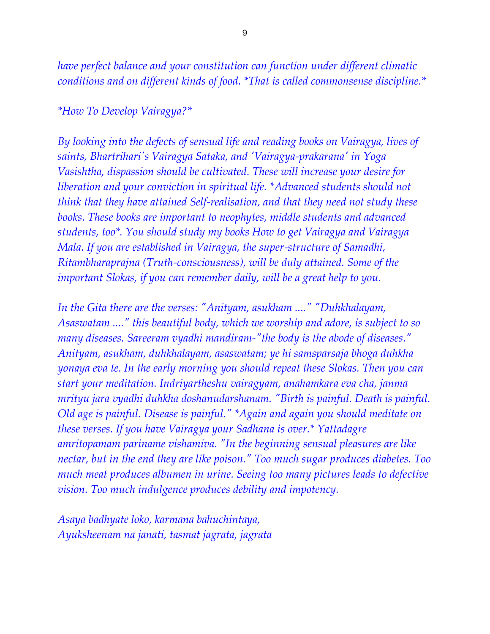*have perfect balance and your constitution can function under different climatic conditions and on different kinds of food. \*That is called commonsense discipline.\**

#### *\*How To Develop Vairagya?\**

*By looking into the defects of sensual life and reading books on Vairagya, lives of saints, Bhartrihari's Vairagya Sataka, and 'Vairagya-prakarana' in Yoga Vasishtha, dispassion should be cultivated. These will increase your desire for liberation and your conviction in spiritual life. \*Advanced students should not think that they have attained Self-realisation, and that they need not study these books. These books are important to neophytes, middle students and advanced students, too\*. You should study my books How to get Vairagya and Vairagya Mala. If you are established in Vairagya, the super-structure of Samadhi, Ritambharaprajna (Truth-consciousness), will be duly attained. Some of the important Slokas, if you can remember daily, will be a great help to you.*

*In the Gita there are the verses: "Anityam, asukham ...." "Duhkhalayam, Asaswatam ...." this beautiful body, which we worship and adore, is subject to so many diseases. Sareeram vyadhi mandiram-"the body is the abode of diseases." Anityam, asukham, duhkhalayam, asaswatam; ye hi samsparsaja bhoga duhkha yonaya eva te. In the early morning you should repeat these Slokas. Then you can start your meditation. Indriyartheshu vairagyam, anahamkara eva cha, janma mrityu jara vyadhi duhkha doshanudarshanam. "Birth is painful. Death is painful. Old age is painful. Disease is painful." \*Again and again you should meditate on these verses. If you have Vairagya your Sadhana is over.\* Yattadagre amritopamam pariname vishamiva. "In the beginning sensual pleasures are like nectar, but in the end they are like poison." Too much sugar produces diabetes. Too much meat produces albumen in urine. Seeing too many pictures leads to defective vision. Too much indulgence produces debility and impotency.*

*Asaya badhyate loko, karmana bahuchintaya, Ayuksheenam na janati, tasmat jagrata, jagrata*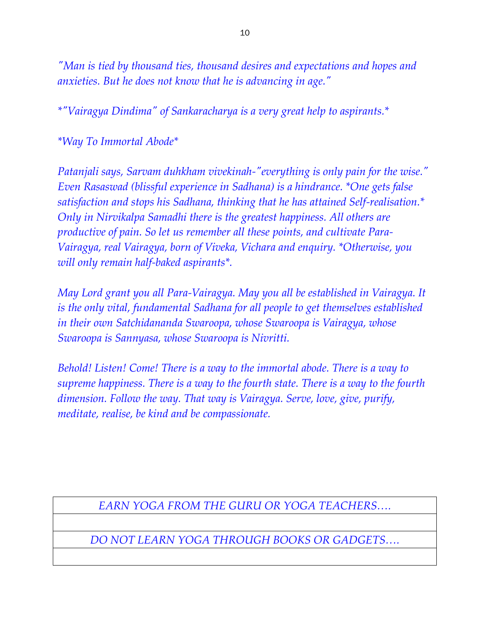*"Man is tied by thousand ties, thousand desires and expectations and hopes and anxieties. But he does not know that he is advancing in age."*

*\*"Vairagya Dindima" of Sankaracharya is a very great help to aspirants.\**

*\*Way To Immortal Abode\**

*Patanjali says, Sarvam duhkham vivekinah-"everything is only pain for the wise." Even Rasaswad (blissful experience in Sadhana) is a hindrance. \*One gets false satisfaction and stops his Sadhana, thinking that he has attained Self-realisation.\* Only in Nirvikalpa Samadhi there is the greatest happiness. All others are productive of pain. So let us remember all these points, and cultivate Para-Vairagya, real Vairagya, born of Viveka, Vichara and enquiry. \*Otherwise, you will only remain half-baked aspirants\*.*

*May Lord grant you all Para-Vairagya. May you all be established in Vairagya. It is the only vital, fundamental Sadhana for all people to get themselves established in their own Satchidananda Swaroopa, whose Swaroopa is Vairagya, whose Swaroopa is Sannyasa, whose Swaroopa is Nivritti.*

*Behold! Listen! Come! There is a way to the immortal abode. There is a way to supreme happiness. There is a way to the fourth state. There is a way to the fourth dimension. Follow the way. That way is Vairagya. Serve, love, give, purify, meditate, realise, be kind and be compassionate.*

*EARN YOGA FROM THE GURU OR YOGA TEACHERS….*

*DO NOT LEARN YOGA THROUGH BOOKS OR GADGETS….*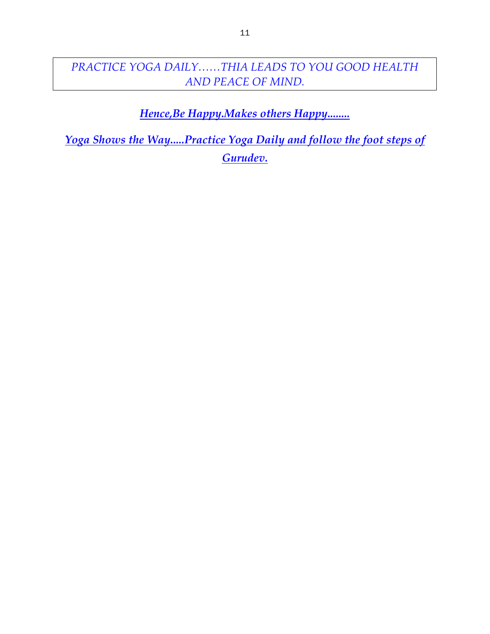### *PRACTICE YOGA DAILY……THIA LEADS TO YOU GOOD HEALTH AND PEACE OF MIND.*

*Hence,Be Happy.Makes others Happy........*

*Yoga Shows the Way.....Practice Yoga Daily and follow the foot steps of Gurudev.*